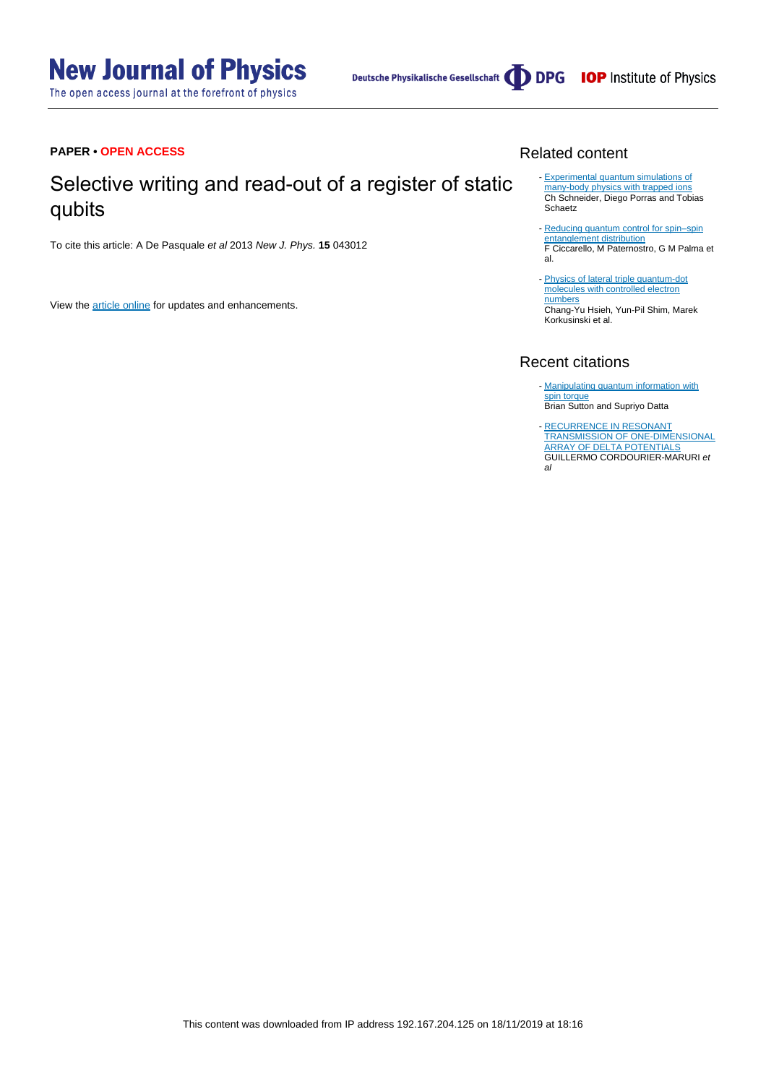# **New Journal of Physics**

The open access journal at the forefront of physics

Deutsche Physikalische Gesellschaft (DDPG IOP Institute of Physics

#### **PAPER • OPEN ACCESS**

## Selective writing and read-out of a register of static qubits

To cite this article: A De Pasquale et al 2013 New J. Phys. **15** 043012

View the [article online](https://doi.org/10.1088/1367-2630/15/4/043012) for updates and enhancements.

#### Related content

- [Experimental quantum simulations of](http://iopscience.iop.org/article/10.1088/0034-4885/75/2/024401) [many-body physics with trapped ions](http://iopscience.iop.org/article/10.1088/0034-4885/75/2/024401) Ch Schneider, Diego Porras and Tobias Schaetz
- Reducing quantum control for spin-spin [entanglement distribution](http://iopscience.iop.org/article/10.1088/1367-2630/11/11/113053) F Ciccarello, M Paternostro, G M Palma et al.
- [Physics of lateral triple quantum-dot](http://iopscience.iop.org/article/10.1088/0034-4885/75/11/114501) [molecules with controlled electron](http://iopscience.iop.org/article/10.1088/0034-4885/75/11/114501) [numbers](http://iopscience.iop.org/article/10.1088/0034-4885/75/11/114501) Chang-Yu Hsieh, Yun-Pil Shim, Marek Korkusinski et al.

#### Recent citations

- [Manipulating quantum information with](http://dx.doi.org/10.1038/srep17912) [spin torque](http://dx.doi.org/10.1038/srep17912) Brian Sutton and Supriyo Datta
- [RECURRENCE IN RESONANT](http://dx.doi.org/10.1142/S021798491450016X) [TRANSMISSION OF ONE-DIMENSIONAL](http://dx.doi.org/10.1142/S021798491450016X) [ARRAY OF DELTA POTENTIALS](http://dx.doi.org/10.1142/S021798491450016X) GUILLERMO CORDOURIER-MARURI et al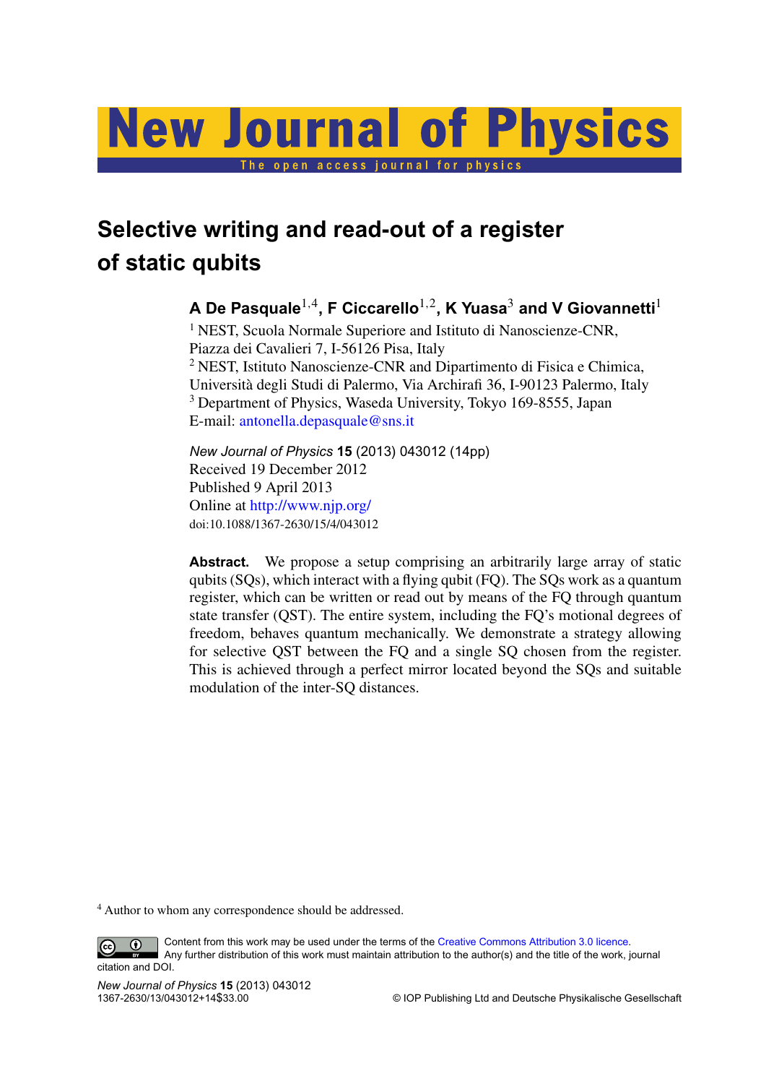

## **Selective writing and read-out of a register of static qubits**

## **A De Pasquale**1,<sup>4</sup> **, F Ciccarello**1,<sup>2</sup> **, K Yuasa**<sup>3</sup> **and V Giovannetti**<sup>1</sup>

<sup>1</sup> NEST, Scuola Normale Superiore and Istituto di Nanoscienze-CNR, Piazza dei Cavalieri 7, I-56126 Pisa, Italy <sup>2</sup> NEST, Istituto Nanoscienze-CNR and Dipartimento di Fisica e Chimica, Universita degli Studi di Palermo, Via Archirafi 36, I-90123 Palermo, Italy ` <sup>3</sup> Department of Physics, Waseda University, Tokyo 169-8555, Japan E-mail: [antonella.depasquale@sns.it](mailto:antonella.depasquale@sns.it)

*New Journal of Physics* **15** (2013) 043012 (14pp) Received 19 December 2012 Published 9 April 2013 Online at <http://www.njp.org/> doi:10.1088/1367-2630/15/4/043012

**Abstract.** We propose a setup comprising an arbitrarily large array of static qubits (SQs), which interact with a flying qubit (FQ). The SQs work as a quantum register, which can be written or read out by means of the FQ through quantum state transfer (QST). The entire system, including the FQ's motional degrees of freedom, behaves quantum mechanically. We demonstrate a strategy allowing for selective QST between the FQ and a single SQ chosen from the register. This is achieved through a perfect mirror located beyond the SQs and suitable modulation of the inter-SQ distances.

<sup>4</sup> Author to whom any correspondence should be addressed.

Content from this work may be used under the terms of the [Creative Commons Attribution 3.0 licence.](http://creativecommons.org/licenses/by/3.0)  $\bigcirc$ 

 $\left($ cc Any further distribution of this work must maintain attribution to the author(s) and the title of the work, journal citation and DOI.

*New Journal of Physics* **15** (2013) 043012

 $©$  IOP Publishing Ltd and Deutsche Physikalische Gesellschaft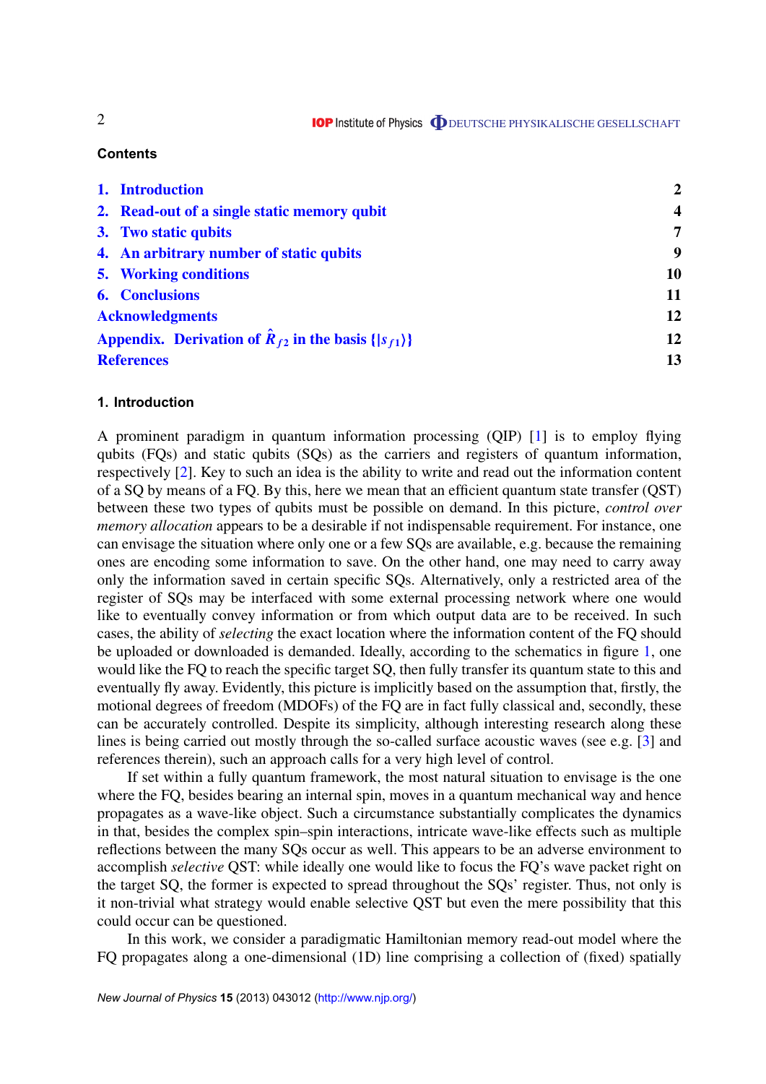#### **Contents**

| 1. Introduction                                                          | $\overline{2}$          |
|--------------------------------------------------------------------------|-------------------------|
| 2. Read-out of a single static memory qubit                              | $\overline{\mathbf{4}}$ |
| 3. Two static qubits                                                     | $\overline{7}$          |
| 4. An arbitrary number of static qubits                                  | 9                       |
| <b>5.</b> Working conditions                                             | 10                      |
| <b>6.</b> Conclusions                                                    | 11                      |
| <b>Acknowledgments</b>                                                   | 12                      |
| Appendix. Derivation of $\hat{R}_{f2}$ in the basis $\{ s_{f1}\rangle\}$ | 12                      |
| <b>References</b>                                                        | 13                      |

#### **1. Introduction**

A prominent paradigm in quantum information processing (QIP) [\[1\]](#page-13-0) is to employ flying qubits (FQs) and static qubits (SQs) as the carriers and registers of quantum information, respectively [\[2\]](#page-13-0). Key to such an idea is the ability to write and read out the information content of a SQ by means of a FQ. By this, here we mean that an efficient quantum state transfer (QST) between these two types of qubits must be possible on demand. In this picture, *control over memory allocation* appears to be a desirable if not indispensable requirement. For instance, one can envisage the situation where only one or a few SQs are available, e.g. because the remaining ones are encoding some information to save. On the other hand, one may need to carry away only the information saved in certain specific SQs. Alternatively, only a restricted area of the register of SQs may be interfaced with some external processing network where one would like to eventually convey information or from which output data are to be received. In such cases, the ability of *selecting* the exact location where the information content of the FQ should be uploaded or downloaded is demanded. Ideally, according to the schematics in figure [1,](#page-3-0) one would like the FQ to reach the specific target SQ, then fully transfer its quantum state to this and eventually fly away. Evidently, this picture is implicitly based on the assumption that, firstly, the motional degrees of freedom (MDOFs) of the FQ are in fact fully classical and, secondly, these can be accurately controlled. Despite its simplicity, although interesting research along these lines is being carried out mostly through the so-called surface acoustic waves (see e.g. [\[3\]](#page-13-0) and references therein), such an approach calls for a very high level of control.

If set within a fully quantum framework, the most natural situation to envisage is the one where the FQ, besides bearing an internal spin, moves in a quantum mechanical way and hence propagates as a wave-like object. Such a circumstance substantially complicates the dynamics in that, besides the complex spin–spin interactions, intricate wave-like effects such as multiple reflections between the many SQs occur as well. This appears to be an adverse environment to accomplish *selective* QST: while ideally one would like to focus the FQ's wave packet right on the target SQ, the former is expected to spread throughout the SQs' register. Thus, not only is it non-trivial what strategy would enable selective QST but even the mere possibility that this could occur can be questioned.

In this work, we consider a paradigmatic Hamiltonian memory read-out model where the FQ propagates along a one-dimensional (1D) line comprising a collection of (fixed) spatially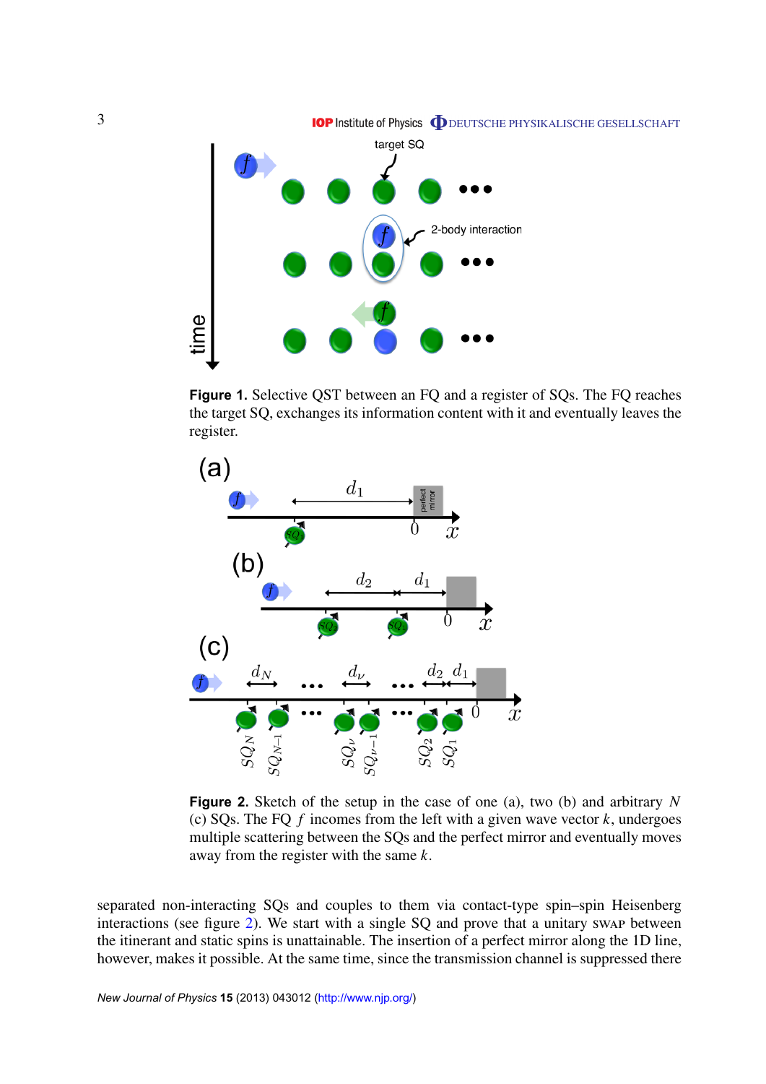<span id="page-3-0"></span>

**Figure 1.** Selective QST between an FQ and a register of SQs. The FQ reaches the target SQ, exchanges its information content with it and eventually leaves the register.



**Figure 2.** Sketch of the setup in the case of one (a), two (b) and arbitrary *N* (c) SQs. The FQ *f* incomes from the left with a given wave vector *k*, undergoes multiple scattering between the SQs and the perfect mirror and eventually moves away from the register with the same *k*.

separated non-interacting SQs and couples to them via contact-type spin–spin Heisenberg interactions (see figure 2). We start with a single SQ and prove that a unitary swap between the itinerant and static spins is unattainable. The insertion of a perfect mirror along the 1D line, however, makes it possible. At the same time, since the transmission channel is suppressed there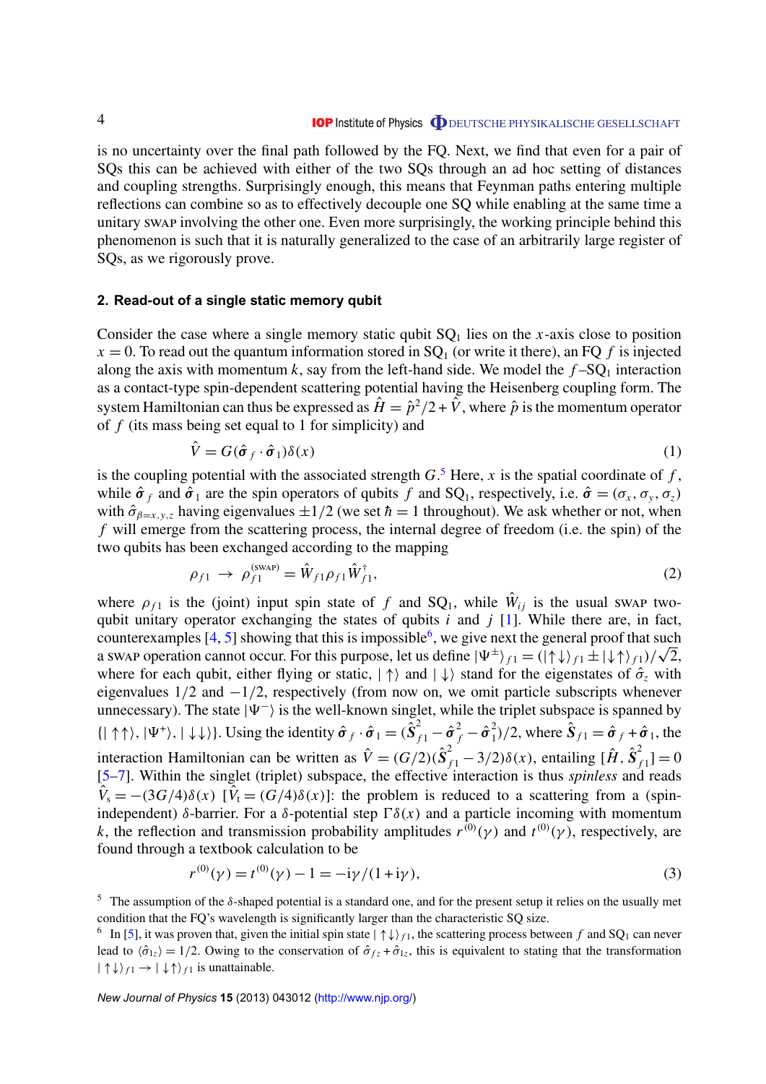<span id="page-4-0"></span>is no uncertainty over the final path followed by the FQ. Next, we find that even for a pair of SQs this can be achieved with either of the two SQs through an ad hoc setting of distances and coupling strengths. Surprisingly enough, this means that Feynman paths entering multiple reflections can combine so as to effectively decouple one SQ while enabling at the same time a unitary swap involving the other one. Even more surprisingly, the working principle behind this phenomenon is such that it is naturally generalized to the case of an arbitrarily large register of SQs, as we rigorously prove.

#### **2. Read-out of a single static memory qubit**

Consider the case where a single memory static qubit  $SQ_1$  lies on the *x*-axis close to position  $x = 0$ . To read out the quantum information stored in SQ<sub>1</sub> (or write it there), an FQ f is injected along the axis with momentum  $k$ , say from the left-hand side. We model the  $f$ -SQ<sub>1</sub> interaction as a contact-type spin-dependent scattering potential having the Heisenberg coupling form. The system Hamiltonian can thus be expressed as  $\hat{H} = \hat{p}^2/2 + \hat{V}$ , where  $\hat{p}$  is the momentum operator of *f* (its mass being set equal to 1 for simplicity) and

$$
\hat{V} = G(\hat{\sigma}_f \cdot \hat{\sigma}_1) \delta(x) \tag{1}
$$

is the coupling potential with the associated strength  $G$ .<sup>5</sup> Here, x is the spatial coordinate of f, while  $\hat{\sigma}_f$  and  $\hat{\sigma}_1$  are the spin operators of qubits *f* and SQ<sub>1</sub>, respectively, i.e.  $\hat{\sigma} = (\sigma_x, \sigma_y, \sigma_z)$ with  $\hat{\sigma}_{\beta=x,y,z}$  having eigenvalues  $\pm 1/2$  (we set  $\hbar=1$  throughout). We ask whether or not, when *f* will emerge from the scattering process, the internal degree of freedom (i.e. the spin) of the two qubits has been exchanged according to the mapping

$$
\rho_{f1} \to \rho_{f1}^{(\text{swap})} = \hat{W}_{f1} \rho_{f1} \hat{W}_{f1}^{\dagger}, \tag{2}
$$

where  $\rho_{f1}$  is the (joint) input spin state of f and SQ<sub>1</sub>, while  $\hat{W}_{ij}$  is the usual swap twoqubit unitary operator exchanging the states of qubits *i* and *j* [\[1\]](#page-13-0). While there are, in fact, counterexamples  $[4, 5]$  $[4, 5]$  $[4, 5]$  showing that this is impossible<sup>6</sup>, we give next the general proof that such counterexamples [4, 5] showing that this is impossible<sup>6</sup>, we give next the general proof that such a swap operation cannot occur. For this purpose, let us define  $|\Psi^{\pm}\rangle_{f1} = (|\uparrow\downarrow\rangle_{f1} \pm |\downarrow\uparrow\rangle_{f1})/\sqrt{2}$ , where for each qubit, either flying or static,  $|\uparrow\rangle$  and  $|\downarrow\rangle$  stand for the eigenstates of  $\hat{\sigma}_z$  with eigenvalues  $1/2$  and  $-1/2$ , respectively (from now on, we omit particle subscripts whenever unnecessary). The state  $|\Psi^{-}\rangle$  is the well-known singlet, while the triplet subspace is spanned by  $\{|\uparrow \uparrow \rangle, |\Psi^+ \rangle, |\downarrow \downarrow \rangle\}$ . Using the identity  $\hat{\sigma}_f \cdot \hat{\sigma}_1 = (\hat{S}_{f1}^2 - \hat{\sigma}_f^2 - \hat{\sigma}_1^2)$  $\hat{\mathbf{S}}_{f1} = \hat{\boldsymbol{\sigma}}_f + \hat{\boldsymbol{\sigma}}_1$ , the interaction Hamiltonian can be written as  $\hat{V} = (G/2)(\hat{S}_{f1}^2 - 3/2)\delta(x)$ , entailing  $[\hat{H}, \hat{S}_{f1}^2 + 3/2]$  $f_{f1}^{2}$ ] = 0 [\[5–7\]](#page-13-0). Within the singlet (triplet) subspace, the effective interaction is thus *spinless* and reads  $V_s = -(3G/4)\delta(x)$  [ $V_t = (G/4)\delta(x)$ ]: the problem is reduced to a scattering from a (spinindependent) δ-barrier. For a δ-potential step  $\Gamma\delta(x)$  and a particle incoming with momentum *k*, the reflection and transmission probability amplitudes  $r^{(0)}(\gamma)$  and  $t^{(0)}(\gamma)$ , respectively, are found through a textbook calculation to be

$$
r^{(0)}(\gamma) = t^{(0)}(\gamma) - 1 = -i\gamma/(1 + i\gamma),\tag{3}
$$

 $5$  The assumption of the δ-shaped potential is a standard one, and for the present setup it relies on the usually met condition that the FQ's wavelength is significantly larger than the characteristic SQ size.

<sup>&</sup>lt;sup>6</sup> In [\[5\]](#page-13-0), it was proven that, given the initial spin state  $|\uparrow\downarrow\rangle_{f1}$ , the scattering process between f and SQ<sub>1</sub> can never lead to  $\langle \hat{\sigma}_{1z} \rangle = 1/2$ . Owing to the conservation of  $\hat{\sigma}_{fz} + \hat{\sigma}_{1z}$ , this is equivalent to stating that the transformation  $| \uparrow \downarrow \rangle_{f_1} \rightarrow | \downarrow \uparrow \rangle_{f_1}$  is unattainable.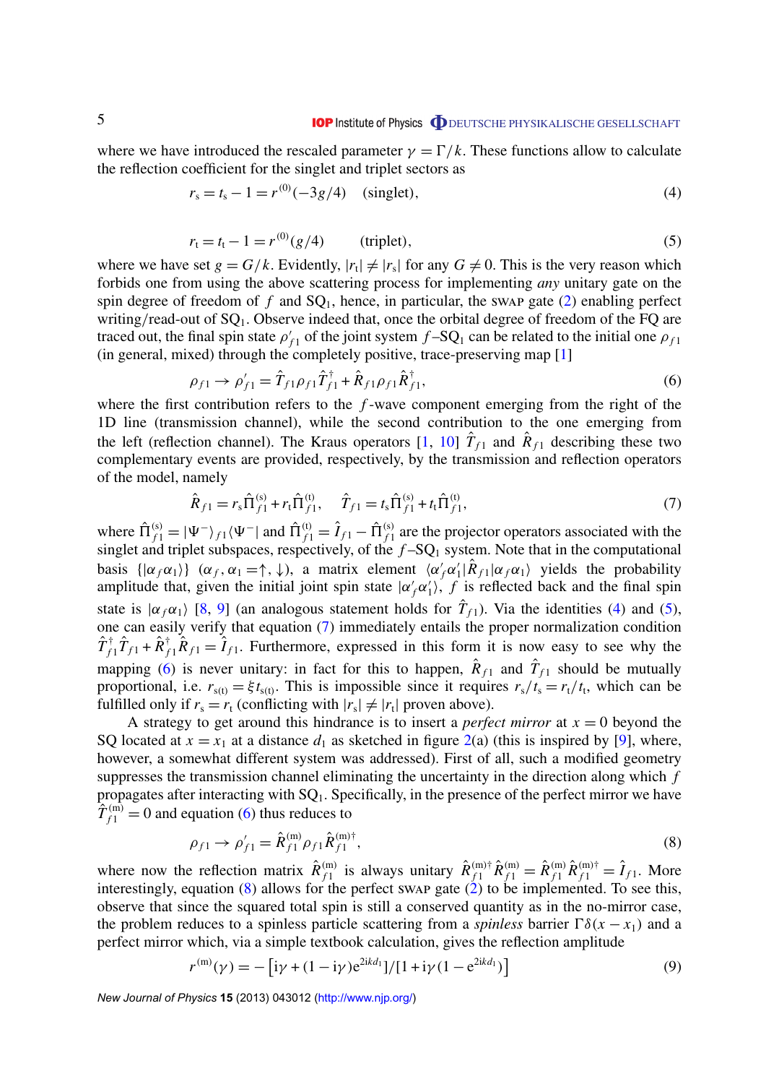where we have introduced the rescaled parameter  $\gamma = \Gamma/k$ . These functions allow to calculate the reflection coefficient for the singlet and triplet sectors as

$$
r_s = t_s - 1 = r^{(0)}(-3g/4) \quad \text{(singlet)},\tag{4}
$$

$$
r_{t} = t_{t} - 1 = r^{(0)}(g/4)
$$
 (triplet), (5)

where we have set  $g = G/k$ . Evidently,  $|r_t| \neq |r_s|$  for any  $G \neq 0$ . This is the very reason which forbids one from using the above scattering process for implementing *any* unitary gate on the spin degree of freedom of  $f$  and  $SQ_1$ , hence, in particular, the swap gate [\(2\)](#page-4-0) enabling perfect writing/read-out of  $SQ_1$ . Observe indeed that, once the orbital degree of freedom of the FQ are traced out, the final spin state  $\rho'$  $f_{f1}$  of the joint system  $f$ –SQ<sub>1</sub> can be related to the initial one  $\rho_{f1}$ (in general, mixed) through the completely positive, trace-preserving map [\[1\]](#page-13-0)

$$
\rho_{f1} \to \rho'_{f1} = \hat{T}_{f1}\rho_{f1}\hat{T}_{f1}^{\dagger} + \hat{R}_{f1}\rho_{f1}\hat{R}_{f1}^{\dagger},
$$
\n(6)

where the first contribution refers to the *f*-wave component emerging from the right of the 1D line (transmission channel), while the second contribution to the one emerging from the left (reflection channel). The Kraus operators [\[1,](#page-13-0) [10\]](#page-13-0)  $\hat{T}_{f1}$  and  $\hat{R}_{f1}$  describing these two complementary events are provided, respectively, by the transmission and reflection operators of the model, namely

$$
\hat{R}_{f1} = r_s \hat{\Pi}_{f1}^{(s)} + r_t \hat{\Pi}_{f1}^{(t)}, \quad \hat{T}_{f1} = t_s \hat{\Pi}_{f1}^{(s)} + t_t \hat{\Pi}_{f1}^{(t)}, \tag{7}
$$

where  $\hat{\Pi}_{f1}^{(s)} = |\Psi^{-}\rangle_{f1} \langle \Psi^{-}|\text{ and } \hat{\Pi}_{f1}^{(t)} = \hat{I}_{f1} - \hat{\Pi}_{f1}^{(s)}\rangle$  $f_{f_1}^{(s)}$  are the projector operators associated with the singlet and triplet subspaces, respectively, of the  $f$ -SQ<sub>1</sub> system. Note that in the computational basis  $\{|\alpha_f \alpha_1\rangle\}$  ( $\alpha_f, \alpha_1 = \uparrow, \downarrow$ ), a matrix element  $\langle \alpha'_f \alpha'_i \rangle$  $\int_{1}^{\prime} |\hat{R}_{f1}| \alpha_f \alpha_1$  yields the probability amplitude that, given the initial joint spin state  $|\alpha'_f \alpha'_f|$  $i_1$ , *f* is reflected back and the final spin state is  $|\alpha_f \alpha_1\rangle$  [\[8,](#page-13-0) [9\]](#page-13-0) (an analogous statement holds for  $\hat{T}_{f_1}$ ). Via the identities (4) and (5), one can easily verify that equation (7) immediately entails the proper normalization condition  $\hat{T}_{f1}^{\dagger} \hat{T}_{f1} + \hat{R}_{f1}^{\dagger} \hat{R}_{f1} = \hat{I}_{f1}$ . Furthermore, expressed in this form it is now easy to see why the mapping (6) is never unitary: in fact for this to happen,  $\hat{R}_{f1}$  and  $\hat{T}_{f1}$  should be mutually proportional, i.e.  $r_{s(t)} = \xi t_{s(t)}$ . This is impossible since it requires  $r_s/t_s = r_t/t_t$ , which can be fulfilled only if  $r_s = r_t$  (conflicting with  $|r_s| \neq |r_t|$  proven above).

A strategy to get around this hindrance is to insert a *perfect mirror* at  $x = 0$  beyond the SQ located at  $x = x_1$  at a distance  $d_1$  as sketched in figure [2\(](#page-3-0)a) (this is inspired by [\[9\]](#page-13-0), where, however, a somewhat different system was addressed). First of all, such a modified geometry suppresses the transmission channel eliminating the uncertainty in the direction along which *f* propagates after interacting with  $SQ_1$ . Specifically, in the presence of the perfect mirror we have  $\hat{T}_{f1}^{(m)} = 0$  and equation (6) thus reduces to

$$
\rho_{f1} \to \rho'_{f1} = \hat{R}_{f1}^{(m)} \rho_{f1} \hat{R}_{f1}^{(m)\dagger},\tag{8}
$$

where now the reflection matrix  $\hat{R}_{f_1}^{(m)}$  $f_1^{(m)}$  is always unitary  $\hat{R}_{f1}^{(m)\dagger} \hat{R}_{f1}^{(m)} = \hat{R}_{f1}^{(m)} \hat{R}_{f1}^{(m)\dagger} = \hat{I}_{f1}$ . More interestingly, equation  $(8)$  allows for the perfect swap gate  $(2)$  to be implemented. To see this, observe that since the squared total spin is still a conserved quantity as in the no-mirror case, the problem reduces to a spinless particle scattering from a *spinless* barrier  $\Gamma \delta(x - x_1)$  and a perfect mirror which, via a simple textbook calculation, gives the reflection amplitude

$$
r^{(m)}(\gamma) = -[i\gamma + (1 - i\gamma)e^{2ikd_1}]/[1 + i\gamma(1 - e^{2ikd_1})]
$$
\n(9)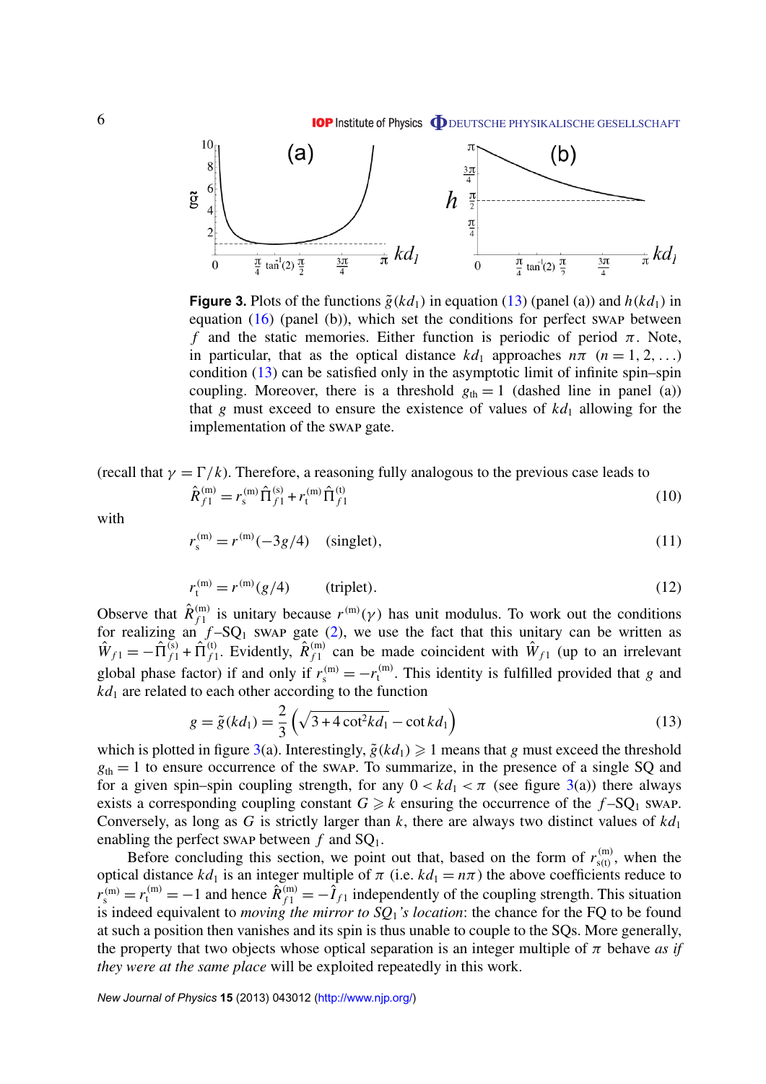<span id="page-6-0"></span>

**Figure 3.** Plots of the functions  $\tilde{g}(kd_1)$  in equation (13) (panel (a)) and  $h(kd_1)$  in equation  $(16)$  (panel  $(b)$ ), which set the conditions for perfect swap between *f* and the static memories. Either function is periodic of period  $\pi$ . Note, in particular, that as the optical distance  $kd_1$  approaches  $n\pi$  ( $n = 1, 2, ...$ ) condition (13) can be satisfied only in the asymptotic limit of infinite spin–spin coupling. Moreover, there is a threshold  $g_{th} = 1$  (dashed line in panel (a)) that  $g$  must exceed to ensure the existence of values of  $kd_1$  allowing for the implementation of the swap gate.

(recall that  $\gamma = \Gamma/k$ ). Therefore, a reasoning fully analogous to the previous case leads to

$$
\hat{R}_{f1}^{(\rm m)} = r_{\rm s}^{(\rm m)} \hat{\Pi}_{f1}^{(\rm s)} + r_{\rm t}^{(\rm m)} \hat{\Pi}_{f1}^{(\rm t)} \tag{10}
$$

with

$$
r_s^{(m)} = r^{(m)}(-3g/4) \quad \text{(singlet)},\tag{11}
$$

$$
r_{t}^{(m)} = r^{(m)}(g/4) \qquad \text{(triplet)}.
$$

Observe that  $\hat{R}_{f1}^{(m)}$  $f_f^{(m)}$  is unitary because  $r^{(m)}(\gamma)$  has unit modulus. To work out the conditions for realizing an  $f-SQ_1$  swap gate [\(2\)](#page-4-0), we use the fact that this unitary can be written as  $\hat{W}_{f1} = -\hat{\Pi}_{f1}^{(s)} + \hat{\Pi}_{f1}^{(t)}$  $\hat{R}^{(t)}_{f1}$ . Evidently,  $\hat{R}^{(m)}_{f1}$  $f_1^{(m)}$  can be made coincident with  $\hat{W}_{f_1}$  (up to an irrelevant global phase factor) if and only if  $r_s^{(m)} = -r_t^{(m)}$  $t_t^{(m)}$ . This identity is fulfilled provided that *g* and  $kd_1$  are related to each other according to the function

$$
g = \tilde{g}(kd_1) = \frac{2}{3} \left( \sqrt{3 + 4 \cot^2 kd_1} - \cot kd_1 \right)
$$
 (13)

which is plotted in figure 3(a). Interestingly,  $\tilde{g}(k d_1) \geq 1$  means that *g* must exceed the threshold  $g_{th} = 1$  to ensure occurrence of the swap. To summarize, in the presence of a single SQ and for a given spin–spin coupling strength, for any  $0 < kd_1 < \pi$  (see figure 3(a)) there always exists a corresponding coupling constant  $G \ge k$  ensuring the occurrence of the  $f$ -SQ<sub>1</sub> swap. Conversely, as long as  $G$  is strictly larger than  $k$ , there are always two distinct values of  $kd_1$ enabling the perfect swap between  $f$  and  $SQ_1$ .

Before concluding this section, we point out that, based on the form of  $r_{\rm s(t)}^{(\rm m)}$  $f_{s(t)}^{(m)}$ , when the optical distance  $kd_1$  is an integer multiple of  $\pi$  (i.e.  $kd_1 = n\pi$ ) the above coefficients reduce to  $r_s^{(m)} = r_t^{(m)} = -1$  and hence  $\hat{R}_{f1}^{(m)} = -\hat{I}_{f1}$  independently of the coupling strength. This situation is indeed equivalent to *moving the mirror to SQ*1*'s location*: the chance for the FQ to be found at such a position then vanishes and its spin is thus unable to couple to the SQs. More generally, the property that two objects whose optical separation is an integer multiple of  $\pi$  behave *as if they were at the same place* will be exploited repeatedly in this work.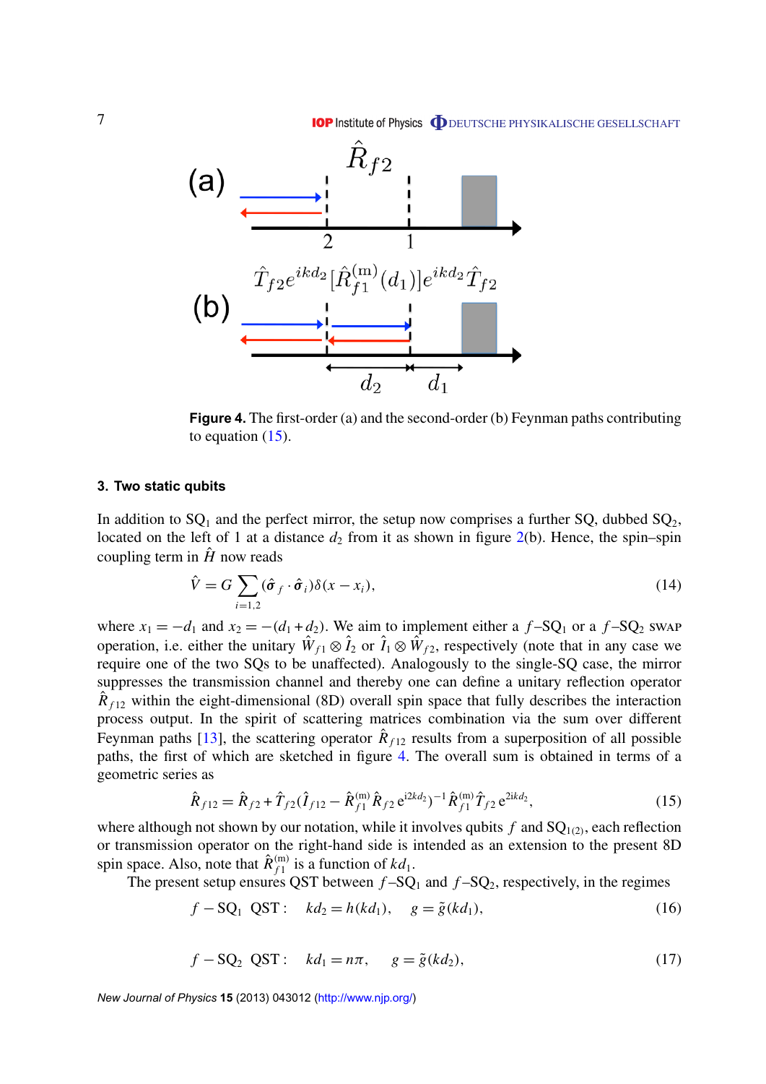<span id="page-7-0"></span>

**Figure 4.** The first-order (a) and the second-order (b) Feynman paths contributing to equation  $(15)$ .

#### **3. Two static qubits**

In addition to  $SQ_1$  and the perfect mirror, the setup now comprises a further  $SQ$ , dubbed  $SQ_2$ , located on the left of 1 at a distance  $d_2$  from it as shown in figure  $2(b)$  $2(b)$ . Hence, the spin–spin coupling term in  $\hat{H}$  now reads

$$
\hat{V} = G \sum_{i=1,2} (\hat{\sigma}_f \cdot \hat{\sigma}_i) \delta(x - x_i),
$$
\n(14)

where  $x_1 = -d_1$  and  $x_2 = -(d_1 + d_2)$ . We aim to implement either a  $f-SQ_1$  or a  $f-SQ_2$  swap operation, i.e. either the unitary  $\hat{W}_{f1} \otimes \hat{I}_2$  or  $\hat{I}_1 \otimes \hat{W}_{f2}$ , respectively (note that in any case we require one of the two SQs to be unaffected). Analogously to the single-SQ case, the mirror suppresses the transmission channel and thereby one can define a unitary reflection operator  $\hat{R}_{f12}$  within the eight-dimensional (8D) overall spin space that fully describes the interaction process output. In the spirit of scattering matrices combination via the sum over different Feynman paths [\[13\]](#page-13-0), the scattering operator  $\hat{R}_{f12}$  results from a superposition of all possible paths, the first of which are sketched in figure 4. The overall sum is obtained in terms of a geometric series as

$$
\hat{R}_{f12} = \hat{R}_{f2} + \hat{T}_{f2}(\hat{I}_{f12} - \hat{R}_{f1}^{(m)}\hat{R}_{f2}e^{i2kd_2})^{-1}\hat{R}_{f1}^{(m)}\hat{T}_{f2}e^{2ikd_2},
$$
\n(15)

where although not shown by our notation, while it involves qubits  $f$  and  $SQ_{1(2)}$ , each reflection or transmission operator on the right-hand side is intended as an extension to the present 8D spin space. Also, note that  $\hat{R}_{f_1}^{(m)}$  $f_1^{(m)}$  is a function of  $kd_1$ .

The present setup ensures QST between  $f$ -SQ<sub>1</sub> and  $f$ -SQ<sub>2</sub>, respectively, in the regimes

$$
f - SQ_1 QST: k d_2 = h(kd_1), g = \tilde{g}(k d_1),
$$
 (16)

$$
f - SQ_2 \t QST: \t kd_1 = n\pi, \t g = \tilde{g}(kd_2), \t(17)
$$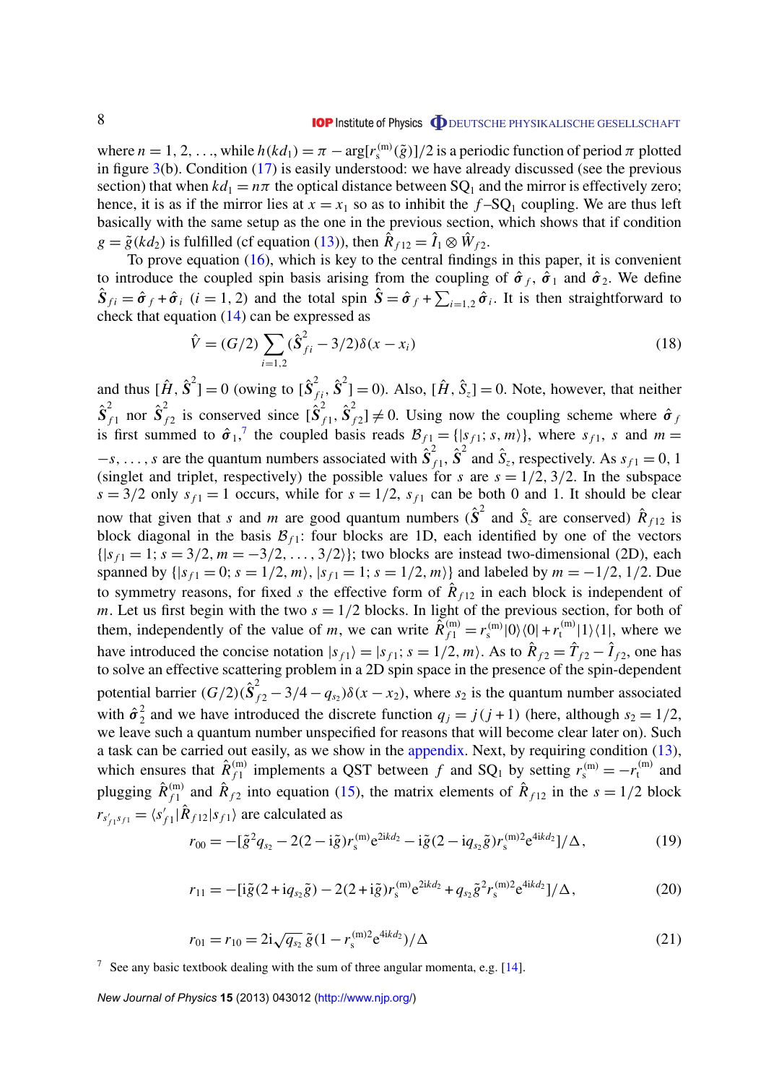#### **IOP** Institute of Physics **ODEUTSCHE PHYSIKALISCHE GESELLSCHAFT**

<span id="page-8-0"></span>where  $n = 1, 2, ...,$  while  $h(kd_1) = \pi - \arg[r_s^{(m)}(\tilde{g})]/2$  is a periodic function of period  $\pi$  plotted in figure  $3(b)$  $3(b)$ . Condition [\(17\)](#page-7-0) is easily understood: we have already discussed (see the previous section) that when  $kd_1 = n\pi$  the optical distance between SQ<sub>1</sub> and the mirror is effectively zero; hence, it is as if the mirror lies at  $x = x_1$  so as to inhibit the  $f-SQ_1$  coupling. We are thus left basically with the same setup as the one in the previous section, which shows that if condition  $g = \tilde{g}(k d_2)$  is fulfilled (cf equation [\(13\)](#page-6-0)), then  $\hat{R}_{f12} = \hat{I}_1 \otimes \hat{W}_{f2}$ .

To prove equation [\(16\)](#page-7-0), which is key to the central findings in this paper, it is convenient to introduce the coupled spin basis arising from the coupling of  $\hat{\sigma}_f$ ,  $\hat{\sigma}_1$  and  $\hat{\sigma}_2$ . We define  $\hat{S}_{fi} = \hat{\sigma}_f + \hat{\sigma}_i$  (*i* = 1, 2) and the total spin  $\hat{S} = \hat{\sigma}_f + \sum_{i=1,2} \hat{\sigma}_i$ . It is then straightforward to check that equation [\(14\)](#page-7-0) can be expressed as

$$
\hat{V} = (G/2) \sum_{i=1,2} (\hat{S}_{fi}^2 - 3/2) \delta(x - x_i)
$$
\n(18)

and thus  $[\hat{H}, \hat{S}^2] = 0$  (owing to  $[\hat{S}^2_{fi}, \hat{S}^2] = 0$ ). Also,  $[\hat{H}, \hat{S}_z] = 0$ . Note, however, that neither  $\mathbf{\hat{S}}_{_f}^2$  $\int_{f1}^{2}$  nor  $\hat{S}_{f}^{2}$  $\sum_{f=2}^{2}$  is conserved since  $\left[\hat{S}_{f}^{2}\right]$  $\hat{\textbf{s}}_{f1}^2$ ,  $\hat{\textbf{S}}_{f}^2$  $f_{f2}$ ]  $\neq$  0. Using now the coupling scheme where  $\hat{\sigma}_f$ is first summed to  $\hat{\sigma}_1$ ,<sup>7</sup> the coupled basis reads  $\mathcal{B}_{f1} = \{ |s_{f1}; s, m \rangle \}$ , where  $s_{f1}$ , *s* and  $m =$  $-s, \ldots, s$  are the quantum numbers associated with  $\hat{S}_i^2$  $\hat{\mathbf{s}}_1^2$ ,  $\hat{\mathbf{s}}_2^2$  and  $\hat{\mathbf{s}}_z$ , respectively. As  $s_{f1} = 0, 1$ (singlet and triplet, respectively) the possible values for *s* are  $s = 1/2$ , 3/2. In the subspace  $s = 3/2$  only  $s_{f1} = 1$  occurs, while for  $s = 1/2$ ,  $s_{f1}$  can be both 0 and 1. It should be clear now that given that *s* and *m* are good quantum numbers  $(\hat{S}^2)$  and  $\hat{S}_z$  are conserved)  $\hat{R}_{f12}$  is block diagonal in the basis  $\mathcal{B}_{f1}$ : four blocks are 1D, each identified by one of the vectors  $\{|s_{f1} = 1; s = 3/2, m = -3/2, \ldots, 3/2|\}$ ; two blocks are instead two-dimensional (2D), each spanned by  $\{ |s_{f1} = 0; s = 1/2, m \}$ ,  $|s_{f1} = 1; s = 1/2, m \}$  and labeled by  $m = -1/2, 1/2$ . Due to symmetry reasons, for fixed *s* the effective form of  $R_{f12}$  in each block is independent of *m*. Let us first begin with the two  $s = 1/2$  blocks. In light of the previous section, for both of them, independently of the value of *m*, we can write  $\tilde{R}_{f_1}^{(m)} = r_s^{(m)}|0\rangle\langle 0| + r_t^{(m)}$  $\binom{m}{t}$  | 1 \ (1 |, where we have introduced the concise notation  $|s_{f1}\rangle = |s_{f1}; s = 1/2, m\rangle$ . As to  $\hat{R}_{f2} = \hat{T}_{f2} - \hat{I}_{f2}$ , one has to solve an effective scattering problem in a 2D spin space in the presence of the spin-dependent potential barrier  $(G/2)(\hat{S}_{f2}^2 - 3/4 - q_{s_2})\delta(x - x_2)$ , where  $s_2$  is the quantum number associated with  $\hat{\sigma}_2^2$  $2^{2}$  and we have introduced the discrete function  $q_j = j(j + 1)$  (here, although  $s_2 = 1/2$ , we leave such a quantum number unspecified for reasons that will become clear later on). Such a task can be carried out easily, as we show in the [appendix.](#page-12-0) Next, by requiring condition [\(13\)](#page-6-0), which ensures that  $\hat{R}_{f1}^{(m)}$  $f_1^{(m)}$  implements a QST between *f* and SQ<sub>1</sub> by setting  $r_s^{(m)} = -r_t^{(m)}$  and plugging  $\hat{R}_{f1}^{(m)}$  $\hat{R}_{f1}^{(m)}$  and  $\hat{R}_{f2}^{(m)}$  into equation [\(15\)](#page-7-0), the matrix elements of  $\hat{R}_{f12}$  in the  $s = 1/2$  block  $r_{s'_{f1}s_{f1}} = \langle s'_{j} \rangle$  $f_{f1}$  $\hat{R}_{f12}|s_{f1}$  are calculated as

$$
r_{00} = -[\tilde{g}^2 q_{s_2} - 2(2 - i\tilde{g})r_s^{(m)} e^{2ikd_2} - i\tilde{g}(2 - iq_{s_2}\tilde{g})r_s^{(m)2} e^{4ikd_2}]/\Delta, \qquad (19)
$$

$$
r_{11} = -[\mathrm{i}\tilde{g}(2 + \mathrm{i}q_{s_2}\tilde{g}) - 2(2 + \mathrm{i}\tilde{g})r_s^{(\mathrm{m})}e^{2\mathrm{i}kd_2} + q_{s_2}\tilde{g}^2r_s^{(\mathrm{m})2}e^{4\mathrm{i}kd_2}]/\Delta,\tag{20}
$$

$$
r_{01} = r_{10} = 2i\sqrt{q_{s_2}}\,\tilde{g}(1 - r_s^{(m)2}e^{4ikd_2})/\Delta\tag{21}
$$

<sup>7</sup> See any basic textbook dealing with the sum of three angular momenta, e.g.  $[14]$ .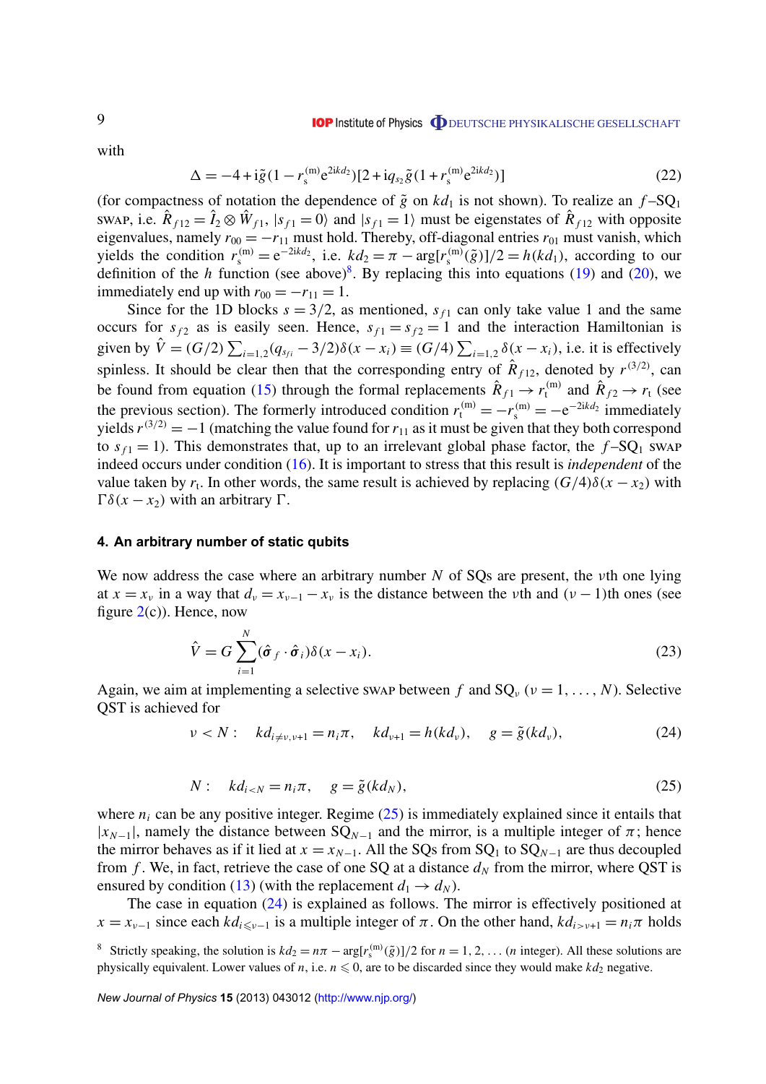<span id="page-9-0"></span>with

$$
\Delta = -4 + i\tilde{g}(1 - r_s^{(m)}e^{2ikd_2})[2 + iq_{s_2}\tilde{g}(1 + r_s^{(m)}e^{2ikd_2})]
$$
\n(22)

(for compactness of notation the dependence of  $\tilde{g}$  on  $kd_1$  is not shown). To realize an  $f$ -SQ<sub>1</sub> swap, i.e.  $\hat{R}_{f12} = \hat{I}_2 \otimes \hat{W}_{f1}$ ,  $|s_{f1} = 0\rangle$  and  $|s_{f1} = 1\rangle$  must be eigenstates of  $\hat{R}_{f12}$  with opposite eigenvalues, namely  $r_{00} = -r_{11}$  must hold. Thereby, off-diagonal entries  $r_{01}$  must vanish, which yields the condition  $r_s^{(m)} = e^{-2ikd_2}$ , i.e.  $kd_2 = \pi - \arg[r_s^{(m)}(\tilde{g})]/2 = h(kd_1)$ , according to our definition of the *h* function (see above)<sup>8</sup>. By replacing this into equations [\(19\)](#page-8-0) and [\(20\)](#page-8-0), we immediately end up with  $r_{00} = -r_{11} = 1$ .

Since for the 1D blocks  $s = 3/2$ , as mentioned,  $s<sub>f1</sub>$  can only take value 1 and the same occurs for  $s_f$  as is easily seen. Hence,  $s_{f1} = s_{f2} = 1$  and the interaction Hamiltonian is given by  $\hat{V} = (G/2) \sum_{i=1,2} (q_{s_{fi}} - 3/2) \delta(x - x_i) \equiv (G/4) \sum_{i=1,2} \delta(x - x_i)$ , i.e. it is effectively spinless. It should be clear then that the corresponding entry of  $\hat{R}_{f12}$ , denoted by  $r^{(3/2)}$ , can be found from equation [\(15\)](#page-7-0) through the formal replacements  $\hat{R}_{f1} \rightarrow r_t^{(m)}$  and  $\hat{R}_{f2} \rightarrow r_t$  (see the previous section). The formerly introduced condition  $r_t^{(m)} = -r_s^{(m)} = -e^{-2ikd_2}$  immediately yields  $r^{(3/2)} = -1$  (matching the value found for  $r_{11}$  as it must be given that they both correspond to  $s_{f1} = 1$ ). This demonstrates that, up to an irrelevant global phase factor, the  $f-SQ_1$  swap indeed occurs under condition [\(16\)](#page-7-0). It is important to stress that this result is *independent* of the value taken by  $r_t$ . In other words, the same result is achieved by replacing  $(G/4)\delta(x - x_2)$  with  $\Gamma\delta(x-x_2)$  with an arbitrary  $\Gamma$ .

#### **4. An arbitrary number of static qubits**

We now address the case where an arbitrary number *N* of SQs are present, the νth one lying at  $x = x_v$  in a way that  $d_v = x_{v-1} - x_v$  is the distance between the *v*th and  $(v - 1)$ th ones (see figure  $2(c)$  $2(c)$ ). Hence, now

$$
\hat{V} = G \sum_{i=1}^{N} (\hat{\sigma}_f \cdot \hat{\sigma}_i) \delta(x - x_i).
$$
\n(23)

Again, we aim at implementing a selective swap between *f* and  $SQ_v$  ( $v = 1, ..., N$ ). Selective QST is achieved for

$$
\nu < N: \quad k d_{i \neq \nu, \nu+1} = n_i \pi, \quad k d_{\nu+1} = h(k d_{\nu}), \quad g = \tilde{g}(k d_{\nu}), \tag{24}
$$

$$
N: \quad kd_{i
$$

where  $n_i$  can be any positive integer. Regime  $(25)$  is immediately explained since it entails that  $|x_{N-1}|$ , namely the distance between  $SQ_{N-1}$  and the mirror, is a multiple integer of  $\pi$ ; hence the mirror behaves as if it lied at  $x = x_{N-1}$ . All the SQs from SQ<sub>1</sub> to SQ<sub>N−1</sub> are thus decoupled from *f*. We, in fact, retrieve the case of one SQ at a distance  $d<sub>N</sub>$  from the mirror, where QST is ensured by condition [\(13\)](#page-6-0) (with the replacement  $d_1 \rightarrow d_N$ ).

The case in equation (24) is explained as follows. The mirror is effectively positioned at  $x = x_{\nu-1}$  since each  $kd_{i \leq \nu-1}$  is a multiple integer of  $\pi$ . On the other hand,  $kd_{i>\nu+1} = n_i\pi$  holds

<sup>8</sup> Strictly speaking, the solution is  $kd_2 = n\pi - \arg[r_s^{(m)}(\tilde{g})]/2$  for  $n = 1, 2, ...$  (*n* integer). All these solutions are physically equivalent. Lower values of *n*, i.e.  $n \leq 0$ , are to be discarded since they would make  $kd_2$  negative.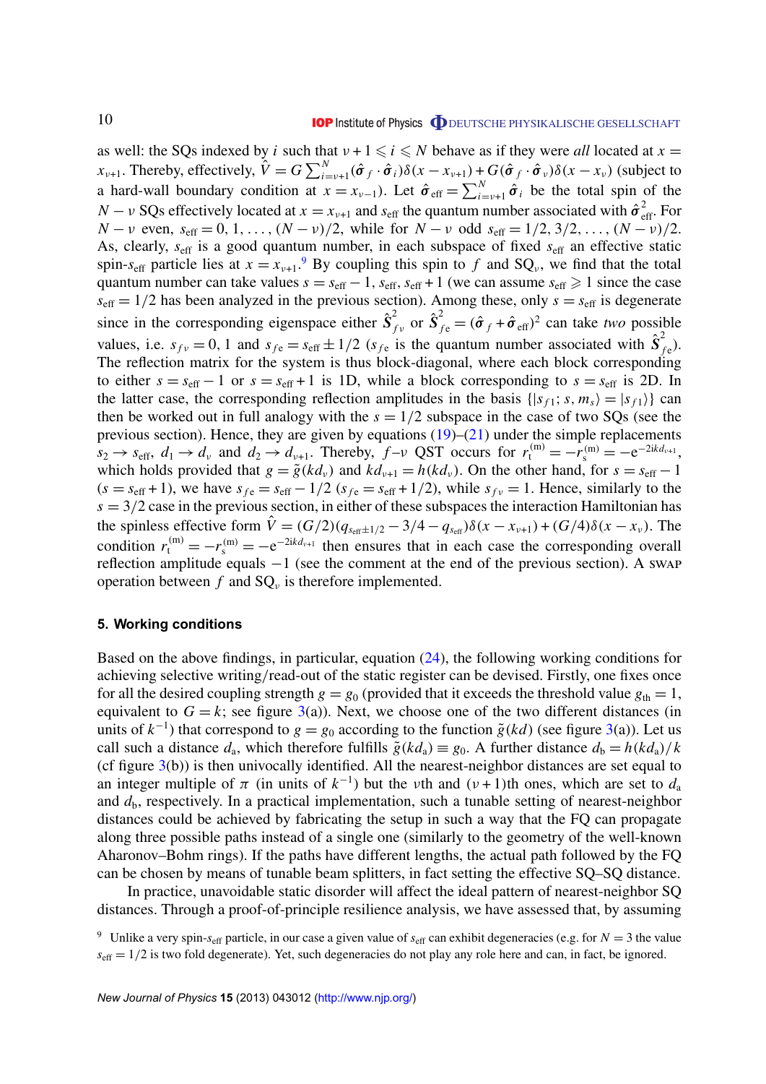<span id="page-10-0"></span>as well: the SQs indexed by *i* such that  $v + 1 \le i \le N$  behave as if they were *all* located at  $x =$ *x*<sub>v+1</sub>. Thereby, effectively,  $\hat{V} = G \sum_{i=v+1}^{N} (\hat{\sigma}_f \cdot \hat{\sigma}_i) \delta(x - x_{v+1}) + G(\hat{\sigma}_f \cdot \hat{\sigma}_v) \delta(x - x_v)$  (subject to a hard-wall boundary condition at  $x = x_{\nu-1}$ ). Let  $\hat{\sigma}_{eff} = \sum_{i=\nu+1}^{N} \hat{\sigma}_i$  be the total spin of the *N* − *v* SQs effectively located at *x* =  $x_{\nu+1}$  and  $s_{\text{eff}}$  the quantum number associated with  $\hat{\sigma}_{\text{eff}}^2$ . For *N* − *ν* even,  $s_{\text{eff}} = 0, 1, ..., (N - v)/2$ , while for *N* − *v* odd  $s_{\text{eff}} = 1/2, 3/2, ..., (N - v)/2$ . As, clearly,  $s_{\text{eff}}$  is a good quantum number, in each subspace of fixed  $s_{\text{eff}}$  an effective static spin- $s_{\text{eff}}$  particle lies at  $x = x_{\nu+1}$ .<sup>9</sup> By coupling this spin to f and SQ<sub>v</sub>, we find that the total quantum number can take values  $s = s_{\text{eff}} - 1$ ,  $s_{\text{eff}}$ ,  $s_{\text{eff}} + 1$  (we can assume  $s_{\text{eff}} \ge 1$  since the case  $s_{\text{eff}} = 1/2$  has been analyzed in the previous section). Among these, only  $s = s_{\text{eff}}$  is degenerate since in the corresponding eigenspace either  $\hat{S}_t^2$  $\hat{\mathbf{S}}_{fv}^2$  or  $\hat{\mathbf{S}}_{f\text{e}}^2 = (\hat{\pmb{\sigma}}_f + \hat{\pmb{\sigma}}_{\text{eff}})^2$  can take *two* possible values, i.e.  $s_{f\nu} = 0$ , 1 and  $s_{f e} = s_{\text{eff}} \pm 1/2$  ( $s_{f e}$  is the quantum number associated with  $\hat{S}_{f}^2$  $\bar{f}_{fe}$ ). The reflection matrix for the system is thus block-diagonal, where each block corresponding to either  $s = s_{\text{eff}} - 1$  or  $s = s_{\text{eff}} + 1$  is 1D, while a block corresponding to  $s = s_{\text{eff}}$  is 2D. In the latter case, the corresponding reflection amplitudes in the basis  $\{ |s_{f1}; s, m_s\rangle = |s_{f1}\rangle \}$  can then be worked out in full analogy with the  $s = 1/2$  subspace in the case of two SQs (see the previous section). Hence, they are given by equations  $(19)$ – $(21)$  under the simple replacements  $s_2 \rightarrow s_{\text{eff}}$ ,  $d_1 \rightarrow d_\nu$  and  $d_2 \rightarrow d_{\nu+1}$ . Thereby,  $f-\nu$  QST occurs for  $r_t^{(m)} = -r_s^{(m)} = -e^{-2ikd_{\nu+1}}$ , which holds provided that  $g = \tilde{g}(k d_v)$  and  $k d_{v+1} = h(k d_v)$ . On the other hand, for  $s = s_{\text{eff}} - 1$  $(s = s_{\text{eff}} + 1)$ , we have  $s_{f\text{e}} = s_{\text{eff}} - 1/2$  ( $s_{f\text{e}} = s_{\text{eff}} + 1/2$ ), while  $s_{f\text{v}} = 1$ . Hence, similarly to the  $s = 3/2$  case in the previous section, in either of these subspaces the interaction Hamiltonian has the spinless effective form  $\hat{V} = (G/2)(q_{s_{\text{eff}}\pm 1/2} - 3/4 - q_{s_{\text{eff}}})\delta(x - x_{\nu+1}) + (G/4)\delta(x - x_{\nu})$ . The condition  $r_t^{(m)} = -r_s^{(m)} = -e^{-2ikd_{v+1}}$  then ensures that in each case the corresponding overall reflection amplitude equals −1 (see the comment at the end of the previous section). A swap operation between  $f$  and  $SQ_{\nu}$  is therefore implemented.

#### **5. Working conditions**

Based on the above findings, in particular, equation [\(24\)](#page-9-0), the following working conditions for achieving selective writing/read-out of the static register can be devised. Firstly, one fixes once for all the desired coupling strength  $g = g_0$  (provided that it exceeds the threshold value  $g_{th} = 1$ , equivalent to  $G = k$ ; see figure [3\(](#page-6-0)a)). Next, we choose one of the two different distances (in units of  $k^{-1}$ ) that correspond to  $g = g_0$  according to the function  $\tilde{g}(kd)$  (see figure [3\(](#page-6-0)a)). Let us call such a distance  $d_a$ , which therefore fulfills  $\tilde{g}(k d_a) \equiv g_0$ . A further distance  $d_b = h(k d_a)/k$ (cf figure  $3(b)$  $3(b)$ ) is then univocally identified. All the nearest-neighbor distances are set equal to an integer multiple of  $\pi$  (in units of  $k^{-1}$ ) but the *v*th and  $(\nu + 1)$ th ones, which are set to  $d_a$ and  $d<sub>b</sub>$ , respectively. In a practical implementation, such a tunable setting of nearest-neighbor distances could be achieved by fabricating the setup in such a way that the FQ can propagate along three possible paths instead of a single one (similarly to the geometry of the well-known Aharonov–Bohm rings). If the paths have different lengths, the actual path followed by the FQ can be chosen by means of tunable beam splitters, in fact setting the effective SQ–SQ distance.

In practice, unavoidable static disorder will affect the ideal pattern of nearest-neighbor SQ distances. Through a proof-of-principle resilience analysis, we have assessed that, by assuming

<sup>&</sup>lt;sup>9</sup> Unlike a very spin- $s_{\text{eff}}$  particle, in our case a given value of  $s_{\text{eff}}$  can exhibit degeneracies (e.g. for  $N = 3$  the value  $s_{\text{eff}} = 1/2$  is two fold degenerate). Yet, such degeneracies do not play any role here and can, in fact, be ignored.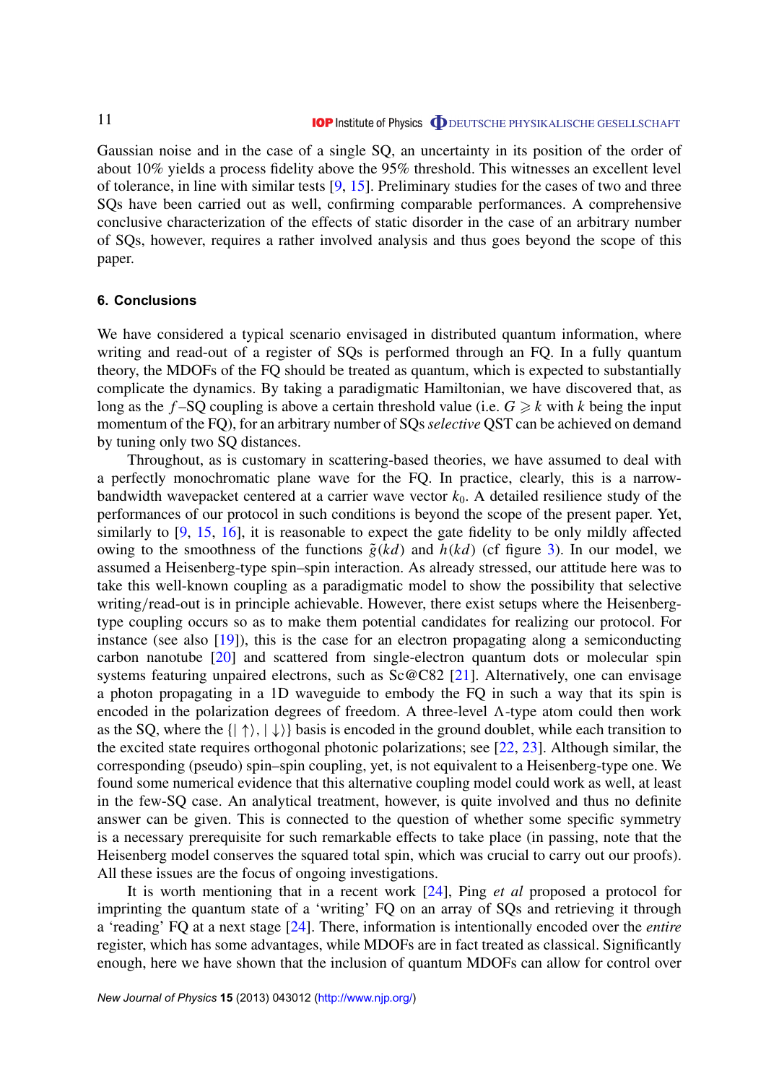<span id="page-11-0"></span>Gaussian noise and in the case of a single SQ, an uncertainty in its position of the order of about 10% yields a process fidelity above the 95% threshold. This witnesses an excellent level of tolerance, in line with similar tests [\[9,](#page-13-0) [15\]](#page-13-0). Preliminary studies for the cases of two and three SQs have been carried out as well, confirming comparable performances. A comprehensive conclusive characterization of the effects of static disorder in the case of an arbitrary number of SQs, however, requires a rather involved analysis and thus goes beyond the scope of this paper.

#### **6. Conclusions**

We have considered a typical scenario envisaged in distributed quantum information, where writing and read-out of a register of SQs is performed through an FQ. In a fully quantum theory, the MDOFs of the FQ should be treated as quantum, which is expected to substantially complicate the dynamics. By taking a paradigmatic Hamiltonian, we have discovered that, as long as the  $f$ -SQ coupling is above a certain threshold value (i.e.  $G \ge k$  with k being the input momentum of the FQ), for an arbitrary number of SQs*selective* QST can be achieved on demand by tuning only two SQ distances.

Throughout, as is customary in scattering-based theories, we have assumed to deal with a perfectly monochromatic plane wave for the FQ. In practice, clearly, this is a narrowbandwidth wavepacket centered at a carrier wave vector  $k_0$ . A detailed resilience study of the performances of our protocol in such conditions is beyond the scope of the present paper. Yet, similarly to [\[9,](#page-13-0) [15,](#page-13-0) [16\]](#page-13-0), it is reasonable to expect the gate fidelity to be only mildly affected owing to the smoothness of the functions  $\tilde{g}(kd)$  and  $h(kd)$  (cf figure [3\)](#page-6-0). In our model, we assumed a Heisenberg-type spin–spin interaction. As already stressed, our attitude here was to take this well-known coupling as a paradigmatic model to show the possibility that selective writing/read-out is in principle achievable. However, there exist setups where the Heisenbergtype coupling occurs so as to make them potential candidates for realizing our protocol. For instance (see also [\[19\]](#page-13-0)), this is the case for an electron propagating along a semiconducting carbon nanotube [\[20\]](#page-14-0) and scattered from single-electron quantum dots or molecular spin systems featuring unpaired electrons, such as Sc@C82 [\[21\]](#page-14-0). Alternatively, one can envisage a photon propagating in a 1D waveguide to embody the FQ in such a way that its spin is encoded in the polarization degrees of freedom. A three-level  $\Lambda$ -type atom could then work as the SQ, where the  $\{|\uparrow\rangle, |\downarrow\rangle\}$  basis is encoded in the ground doublet, while each transition to the excited state requires orthogonal photonic polarizations; see [\[22,](#page-14-0) [23\]](#page-14-0). Although similar, the corresponding (pseudo) spin–spin coupling, yet, is not equivalent to a Heisenberg-type one. We found some numerical evidence that this alternative coupling model could work as well, at least in the few-SQ case. An analytical treatment, however, is quite involved and thus no definite answer can be given. This is connected to the question of whether some specific symmetry is a necessary prerequisite for such remarkable effects to take place (in passing, note that the Heisenberg model conserves the squared total spin, which was crucial to carry out our proofs). All these issues are the focus of ongoing investigations.

It is worth mentioning that in a recent work [\[24\]](#page-14-0), Ping *et al* proposed a protocol for imprinting the quantum state of a 'writing' FQ on an array of SQs and retrieving it through a 'reading' FQ at a next stage [\[24\]](#page-14-0). There, information is intentionally encoded over the *entire* register, which has some advantages, while MDOFs are in fact treated as classical. Significantly enough, here we have shown that the inclusion of quantum MDOFs can allow for control over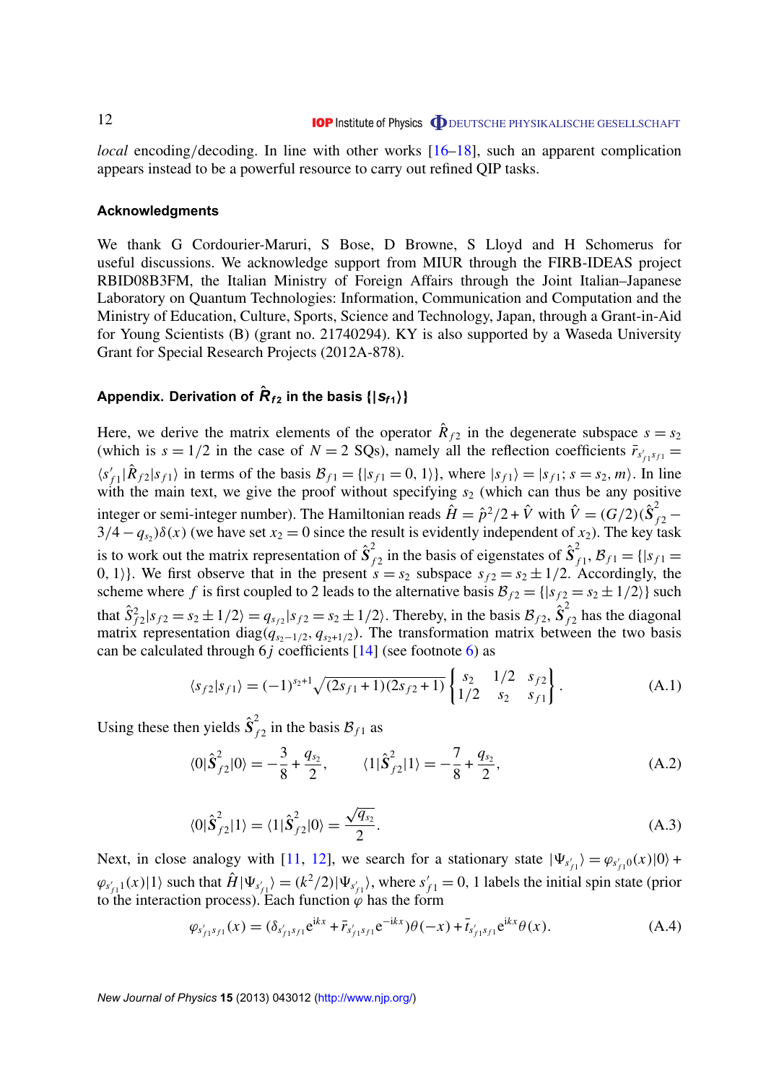<span id="page-12-0"></span>*local* encoding/decoding. In line with other works [\[16–18\]](#page-13-0), such an apparent complication appears instead to be a powerful resource to carry out refined QIP tasks.

#### **Acknowledgments**

We thank G Cordourier-Maruri, S Bose, D Browne, S Lloyd and H Schomerus for useful discussions. We acknowledge support from MIUR through the FIRB-IDEAS project RBID08B3FM, the Italian Ministry of Foreign Affairs through the Joint Italian–Japanese Laboratory on Quantum Technologies: Information, Communication and Computation and the Ministry of Education, Culture, Sports, Science and Technology, Japan, through a Grant-in-Aid for Young Scientists (B) (grant no. 21740294). KY is also supported by a Waseda University Grant for Special Research Projects (2012A-878).

### Appendix. Derivation of  $\hat{\bm{R}}_{f2}$  in the basis {|S<sub>f1</sub>}}

Here, we derive the matrix elements of the operator  $\hat{R}_{f2}$  in the degenerate subspace  $s = s_2$ (which is  $s = 1/2$  in the case of  $N = 2$  SQs), namely all the reflection coefficients  $\bar{r}_{s'_{f1}s_{f1}} =$  $\langle s' \rangle$  $f_{f_1}(\hat{R}_{f_2}|s_{f_1})$  in terms of the basis  $\mathcal{B}_{f_1} = \{ |s_{f_1} = 0, 1 \rangle \}$ , where  $|s_{f_1} \rangle = |s_{f_1}; s = s_2, m \rangle$ . In line with the main text, we give the proof without specifying  $s_2$  (which can thus be any positive integer or semi-integer number). The Hamiltonian reads  $\hat{H} = \hat{p}^2/2 + \hat{V}$  with  $\hat{V} = (G/2)(\hat{S}_{f2}^2 3/4 - q_{s_2}$ ) $\delta(x)$  (we have set  $x_2 = 0$  since the result is evidently independent of  $x_2$ ). The key task is to work out the matrix representation of  $\hat{S}_t^2$  $\int_{f2}^{2}$  in the basis of eigenstates of  $\hat{S}_{f}^{2}$  $f_{f1}^{2}, \mathcal{B}_{f1} = \{ |s_{f1}| =$ 0, 1). We first observe that in the present  $s = s_2$  subspace  $s_{f2} = s_2 \pm 1/2$ . Accordingly, the scheme where *f* is first coupled to 2 leads to the alternative basis  $B_{f2} = \{ |s_{f2} = s_2 \pm 1/2 \rangle \}$  such that  $\hat{S}_{f2}^2 | s_{f2} = s_2 \pm 1/2$  =  $q_{s_1} | s_{f2} = s_2 \pm 1/2$ . Thereby, in the basis  $\mathcal{B}_{f2}$ ,  $\hat{S}_f^2$  $\bar{f}_f$ <sub>2</sub> has the diagonal matrix representation diag( $q_{s_2-1/2}$ ,  $q_{s_2+1/2}$ ). The transformation matrix between the two basis can be calculated through  $6j$  coefficients  $[14]$  (see footnote [6\)](#page-4-0) as

$$
\langle s_{f2} | s_{f1} \rangle = (-1)^{s_2+1} \sqrt{(2s_{f1}+1)(2s_{f2}+1)} \begin{Bmatrix} s_2 & 1/2 & s_{f2} \\ 1/2 & s_2 & s_{f1} \end{Bmatrix} . \tag{A.1}
$$

Using these then yields  $\hat{S}_t^2$  $f_1$  in the basis  $\mathcal{B}_{f1}$  as

$$
\langle 0|\hat{\mathbf{S}}_{f2}^2|0\rangle = -\frac{3}{8} + \frac{q_{s_2}}{2}, \qquad \langle 1|\hat{\mathbf{S}}_{f2}^2|1\rangle = -\frac{7}{8} + \frac{q_{s_2}}{2}, \tag{A.2}
$$

$$
\langle 0|\hat{\boldsymbol{S}}_{f2}^2|1\rangle = \langle 1|\hat{\boldsymbol{S}}_{f2}^2|0\rangle = \frac{\sqrt{q_{s_2}}}{2}.
$$
\n(A.3)

Next, in close analogy with [\[11,](#page-13-0) [12\]](#page-13-0), we search for a stationary state  $|\Psi_{s'_{f1}}\rangle = \varphi_{s'_{f1}0}(x)|0\rangle +$  $\varphi_{s'_{f1}}(x)$  and that  $\hat{H}|\Psi_{s'_{f1}}\rangle = (k^2/2)|\Psi_{s'_{f1}}\rangle$ , where  $s'_{f1} = 0$ , 1 labels the initial spin state (prior to the interaction process). Each function  $\varphi$  has the form

$$
\varphi_{s'_{f1}s_{f1}}(x) = (\delta_{s'_{f1}s_{f1}}e^{ikx} + \bar{r}_{s'_{f1}s_{f1}}e^{-ikx})\theta(-x) + \bar{t}_{s'_{f1}s_{f1}}e^{ikx}\theta(x).
$$
 (A.4)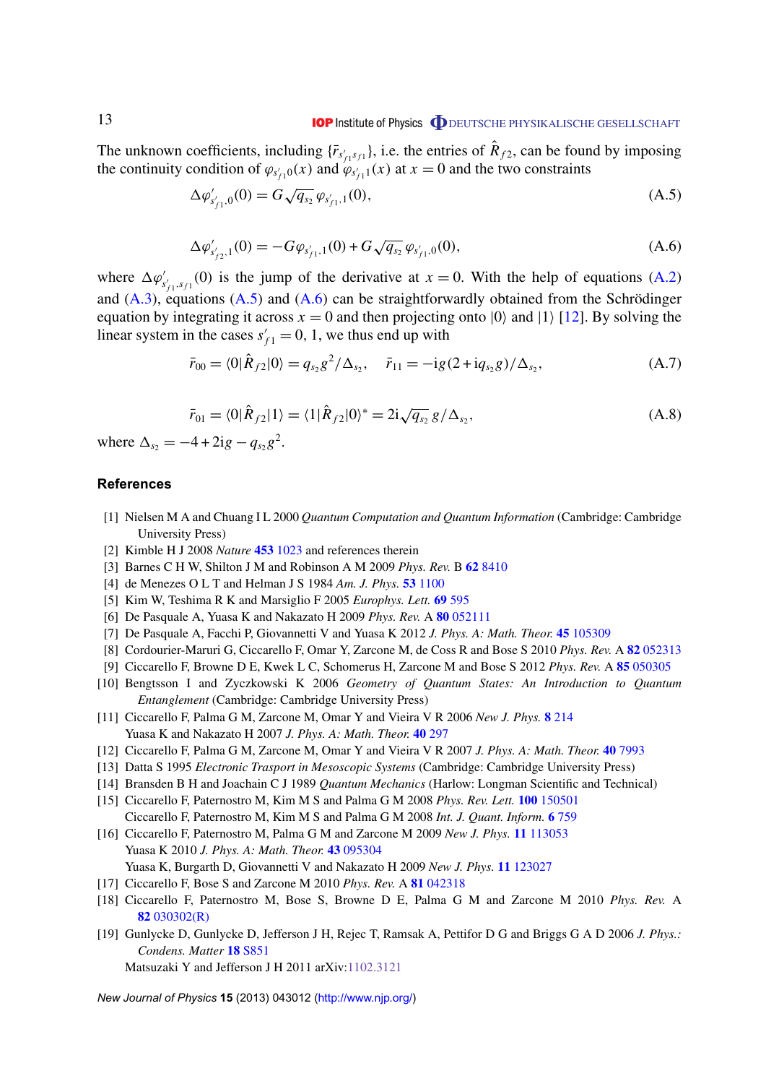<span id="page-13-0"></span>The unknown coefficients, including  $\{\bar{r}_{s'_f,s_f}$ , *i.e.* the entries of  $\hat{R}_{f2}$ , can be found by imposing the continuity condition of  $\varphi_{s/1}^{(x)}(x)$  and  $\varphi_{s/1}^{(x)}(x)$  at  $x = 0$  and the two constraints  $\begin{bmatrix} 1 & 1 \\ 1 & 1 \end{bmatrix}$ 

$$
\Delta \varphi'_{s'_{f1},0}(0) = G \sqrt{q_{s_2}} \varphi_{s'_{f1},1}(0), \tag{A.5}
$$

$$
\Delta \varphi'_{s'_{f2},1}(0) = -G\varphi_{s'_{f1},1}(0) + G\sqrt{q_{s_2}} \varphi_{s'_{f1},0}(0), \qquad (A.6)
$$

where  $\Delta \varphi'_{s'_f,s_f}$  (0) is the jump of the derivative at  $x = 0$ . With the help of equations [\(A.2\)](#page-12-0) and  $(A.3)$ , equations  $(A.5)$  and  $(A.6)$  can be straightforwardly obtained from the Schrödinger equation by integrating it across  $x = 0$  and then projecting onto  $|0\rangle$  and  $|1\rangle$  [12]. By solving the linear system in the cases  $s'_{f1} = 0$ , 1, we thus end up with

$$
\bar{r}_{00} = \langle 0|\hat{R}_{f2}|0\rangle = q_{s_2}g^2/\Delta_{s_2}, \quad \bar{r}_{11} = -ig(2 + iq_{s_2}g)/\Delta_{s_2},
$$
\n(A.7)

$$
\bar{r}_{01} = \langle 0|\hat{R}_{f2}|1\rangle = \langle 1|\hat{R}_{f2}|0\rangle^* = 2i\sqrt{q_{s_2}}g/\Delta_{s_2},
$$
\n(A.8)

where  $\Delta_{s_2} = -4 + 2ig - q_{s_2}g^2$ .

#### **References**

- [1] Nielsen M A and Chuang I L 2000 *Quantum Computation and Quantum Information* (Cambridge: Cambridge University Press)
- [2] Kimble H J 2008 *Nature* **453** [1023](http://dx.doi.org/10.1038/nature07127) and references therein
- [3] Barnes C H W, Shilton J M and Robinson A M 2009 *Phys. Rev.* B **62** [8410](http://dx.doi.org/10.1103/PhysRevB.62.8410)
- [4] de Menezes O L T and Helman J S 1984 *Am. J. Phys.* **53** [1100](http://dx.doi.org/10.1119/1.14041)
- [5] Kim W, Teshima R K and Marsiglio F 2005 *Europhys. Lett.* **69** [595](http://dx.doi.org/10.1209/epl/i2004-10395-x)
- [6] De Pasquale A, Yuasa K and Nakazato H 2009 *Phys. Rev.* A **80** [052111](http://dx.doi.org/10.1103/PhysRevA.80.052111)
- [7] De Pasquale A, Facchi P, Giovannetti V and Yuasa K 2012 *J. Phys. A: Math. Theor.* **45** [105309](http://dx.doi.org/10.1088/1751-8113/45/10/105309)
- [8] Cordourier-Maruri G, Ciccarello F, Omar Y, Zarcone M, de Coss R and Bose S 2010 *Phys. Rev.* A **82** [052313](http://dx.doi.org/10.1103/PhysRevA.82.052313)
- [9] Ciccarello F, Browne D E, Kwek L C, Schomerus H, Zarcone M and Bose S 2012 *Phys. Rev.* A **85** [050305](http://dx.doi.org/10.1103/PhysRevA.85.050305)
- [10] Bengtsson I and Zyczkowski K 2006 *Geometry of Quantum States: An Introduction to Quantum Entanglement* (Cambridge: Cambridge University Press)
- [11] Ciccarello F, Palma G M, Zarcone M, Omar Y and Vieira V R 2006 *New J. Phys.* **8** [214](http://dx.doi.org/10.1088/1367-2630/8/9/214) Yuasa K and Nakazato H 2007 *J. Phys. A: Math. Theor.* **40** [297](http://dx.doi.org/10.1088/1751-8113/40/2/009)
- [12] Ciccarello F, Palma G M, Zarcone M, Omar Y and Vieira V R 2007 *J. Phys. A: Math. Theor.* **40** [7993](http://dx.doi.org/10.1088/1751-8113/40/28/S09)
- [13] Datta S 1995 *Electronic Trasport in Mesoscopic Systems* (Cambridge: Cambridge University Press)
- [14] Bransden B H and Joachain C J 1989 *Quantum Mechanics* (Harlow: Longman Scientific and Technical)
- [15] Ciccarello F, Paternostro M, Kim M S and Palma G M 2008 *Phys. Rev. Lett.* **100** [150501](http://dx.doi.org/10.1103/PhysRevLett.100.150501)
- Ciccarello F, Paternostro M, Kim M S and Palma G M 2008 *Int. J. Quant. Inform.* **6** [759](http://dx.doi.org/10.1142/S0219749908004079) [16] Ciccarello F, Paternostro M, Palma G M and Zarcone M 2009 *New J. Phys.* **11** [113053](http://dx.doi.org/10.1088/1367-2630/11/11/113053) Yuasa K 2010 *J. Phys. A: Math. Theor.* **43** [095304](http://dx.doi.org/10.1088/1751-8113/43/9/095304)
	- Yuasa K, Burgarth D, Giovannetti V and Nakazato H 2009 *New J. Phys.* **11** [123027](http://dx.doi.org/10.1088/1367-2630/11/12/123027)
- [17] Ciccarello F, Bose S and Zarcone M 2010 *Phys. Rev.* A **81** [042318](http://dx.doi.org/10.1103/PhysRevA.81.042318)
- [18] Ciccarello F, Paternostro M, Bose S, Browne D E, Palma G M and Zarcone M 2010 *Phys. Rev.* A **82** [030302\(R\)](http://dx.doi.org/10.1103/PhysRevA.82.030302)
- [19] Gunlycke D, Gunlycke D, Jefferson J H, Rejec T, Ramsak A, Pettifor D G and Briggs G A D 2006 *J. Phys.: Condens. Matter* **18** [S851](http://dx.doi.org/10.1088/0953-8984/18/21/S11)

Matsuzaki Y and Jefferson J H 2011 arXiv[:1102.3121](http://arxiv.org/abs/1102.3121)